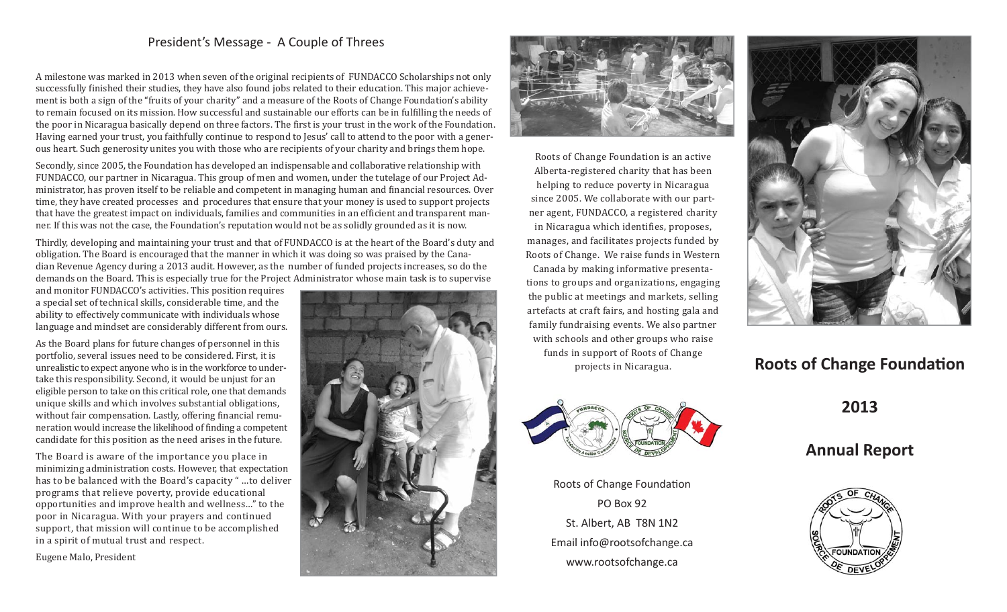### President's Message - A Couple of Threes

A milestone was marked in 2013 when seven of the original recipients of FUNDACCO Scholarships not only successfully finished their studies, they have also found jobs related to their education. This major achievement is both a sign of the "fruits of your charity" and a measure of the Roots of Change Foundation's ability to remain focused on its mission. How successful and sustainable our efforts can be in fulfilling the needs of the poor in Nicaragua basically depend on three factors. The first is your trust in the work of the Foundation. Having earned your trust, you faithfully continue to respond to Jesus' call to attend to the poor with a generous heart. Such generosity unites you with those who are recipients of your charity and brings them hope.

Secondly, since 2005, the Foundation has developed an indispensable and collaborative relationship with FUNDACCO, our partner in Nicaragua. This group of men and women, under the tutelage of our Project Administrator, has proven itself to be reliable and competent in managing human and financial resources. Over time, they have created processes and procedures that ensure that your money is used to support projects that have the greatest impact on individuals, families and communities in an efficient and transparent manner. If this was not the case, the Foundation's reputation would not be as solidly grounded as it is now.

Thirdly, developing and maintaining your trust and that of FUNDACCO is at the heart of the Board's duty and obligation. The Board is encouraged that the manner in which it was doing so was praised by the Canadian Revenue Agency during a 2013 audit. However, as the number of funded projects increases, so do the demands on the Board. This is especially true for the Project Administrator whose main task is to supervise

and monitor FUNDACCO's activities. This position requires a special set of technical skills, considerable time, and the ability to effectively communicate with individuals whose language and mindset are considerably different from ours.

As the Board plans for future changes of personnel in this portfolio, several issues need to be considered. First, it is unrealistic to expect anyone who is in the workforce to undertake this responsibility. Second, it would be unjust for an eligible person to take on this critical role, one that demands unique skills and which involves substantial obligations, without fair compensation. Lastly, offering financial remuneration would increase the likelihood of finding a competent candidate for this position as the need arises in the future.

The Board is aware of the importance you place in minimizing administration costs. However, that expectation has to be balanced with the Board's capacity " …to deliver programs that relieve poverty, provide educational opportunities and improve health and wellness…" to the poor in Nicaragua. With your prayers and continued support, that mission will continue to be accomplished in a spirit of mutual trust and respect.

Eugene Malo, President





Roots of Change Foundation is an active Alberta-registered charity that has been helping to reduce poverty in Nicaragua since 2005. We collaborate with our partner agent, FUNDACCO, a registered charity in Nicaragua which identifies, proposes, manages, and facilitates projects funded by Roots of Change. We raise funds in Western Canada by making informative presentations to groups and organizations, engaging the public at meetings and markets, selling artefacts at craft fairs, and hosting gala and family fundraising events. We also partner with schools and other groups who raise funds in support of Roots of Change projects in Nicaragua.



Roots of Change Foundation PO Box 92St. Albert, AB T8N 1N2 Email info@rootsofchange.ca www.rootsofchange.ca



# **Roots of Change Foundation**

**2013**

## **Annual Report**